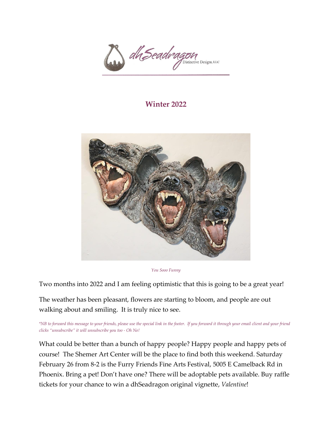

#### **Winter 2022**



*You Sooo Funny*

Two months into 2022 and I am feeling optimistic that this is going to be a great year!

The weather has been pleasant, flowers are starting to bloom, and people are out walking about and smiling. It is truly nice to see.

*\*NB to forward this message to your friends, please use the special link in the footer. If you forward it through your email client and your friend clicks "unsubscribe" it will unsubscribe you too - Oh No!* 

What could be better than a bunch of happy people? Happy people and happy pets of course! The Shemer Art Center will be the place to find both this weekend. Saturday February 26 from 8-2 is the Furry Friends Fine Arts Festival, 5005 E Camelback Rd in Phoenix. Bring a pet! Don't have one? There will be adoptable pets available. Buy raffle tickets for your chance to win a dhSeadragon original vignette, *Valentine*!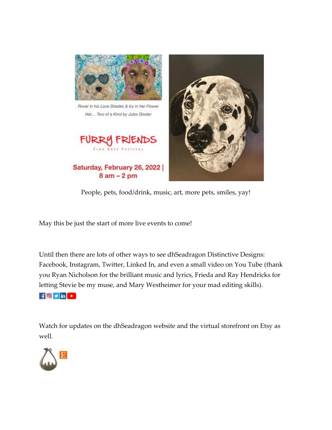

People, pets, food/drink, music, art, more pets, smiles, yay!

May this be just the start of more live events to come!

Until then there are lots of other ways to see dhSeadragon Distinctive Designs: Facebook, Instagram, Twitter, Linked In, and even a small video on You Tube (thank you Ryan Nicholson for the brilliant music and lyrics, Frieda and Ray Hendricks for letting Stevie be my muse, and Mary Westheimer for your mad editing skills).

### $f$  o  $y$  in  $\rightarrow$

Watch for updates on the dhSeadragon website and the virtual storefront on Etsy as well.

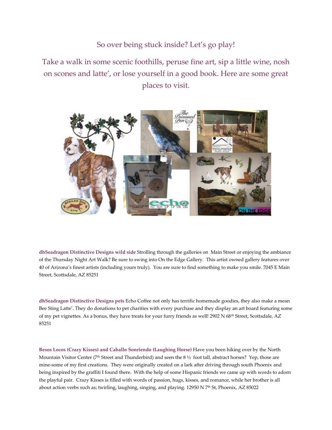So over being stuck inside? Let's go play!

Take a walk in some scenic foothills, peruse fine art, sip a little wine, nosh on scones and latte', or lose yourself in a good book. Here are some great places to visit.



**dhSeadragon Distinctive Designs wild side** Strolling through the galleries on Main Street or enjoying the ambiance of the Thursday Night Art Walk? Be sure to swing into On the Edge Gallery. This artist owned gallery features over 40 of Arizona's finest artists (including yours truly). You are sure to find something to make you smile. 7045 E Main Street, Scottsdale, AZ 85251

**dhSeadragon Distinctive Designs pets** Echo Coffee not only has terrific homemade goodies, they also make a mean Bee Sting Latte'. They do donations to pet charities with every purchase and they display an art board featuring some of my pet vignettes. As a bonus, they have treats for your furry friends as well! 2902 N 68<sup>th</sup> Street, Scottsdale, AZ 85251

**Besos Locos (Crazy Kisses) and Caballo Sonriendo (Laughing Horse)** Have you been hiking over by the North Mountain Visitor Center (7<sup>th</sup> Street and Thunderbird) and seen the 8  $\frac{1}{2}$  foot tall, abstract horses? Yep, those are mine-some of my first creations. They were originally created on a lark after driving through south Phoenix and being inspired by the graffiti I found there. With the help of some Hispanic friends we came up with words to adorn the playful pair. Crazy Kisses is filled with words of passion, hugs, kisses, and romance, while her brother is all about action verbs such as; twirling, laughing, singing, and playing. 12950 N 7<sup>th</sup> St, Phoenix, AZ 85022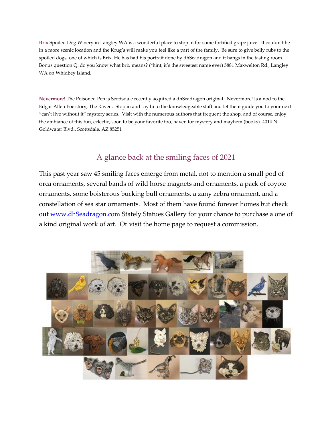**Brix** Spoiled Dog Winery in Langley WA is a wonderful place to stop in for some fortified grape juice. It couldn't be in a more scenic location and the Krug's will make you feel like a part of the family. Be sure to give belly rubs to the spoiled dogs, one of which is Brix. He has had his portrait done by dhSeadragon and it hangs in the tasting room. Bonus question Q: do you know what brix means? (\*hint, it's the sweetest name ever) 5881 Maxwelton Rd., Langley WA on Whidbey Island.

**Nevermore!** The Poisoned Pen is Scottsdale recently acquired a dhSeadragon original. Nevermore! Is a nod to the Edgar Allen Poe story, The Raven. Stop in and say hi to the knowledgeable staff and let them guide you to your next "can't live without it" mystery series. Visit with the numerous authors that frequent the shop, and of course, enjoy the ambiance of this fun, eclectic, soon to be your favorite too, haven for mystery and mayhem (books). 4014 N. Goldwater Blvd., Scottsdale, AZ 85251

## A glance back at the smiling faces of 2021

This past year saw 45 smiling faces emerge from metal, not to mention a small pod of orca ornaments, several bands of wild horse magnets and ornaments, a pack of coyote ornaments, some boisterous bucking bull ornaments, a zany zebra ornament, and a constellation of sea star ornaments. Most of them have found forever homes but check out [www.dhSeadragon.com](http://www.dhseadragon.com/) Stately Statues Gallery for your chance to purchase a one of a kind original work of art. Or visit the home page to request a commission.

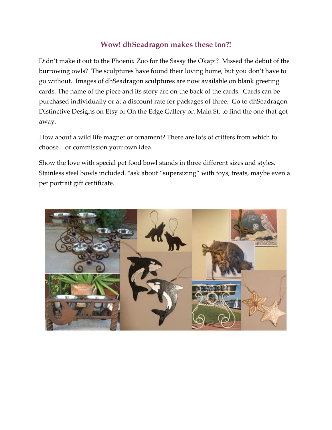## **Wow! dhSeadragon makes these too?!**

Didn't make it out to the Phoenix Zoo for the Sassy the Okapi? Missed the debut of the burrowing owls? The sculptures have found their loving home, but you don't have to go without. Images of dhSeadragon sculptures are now available on blank greeting cards. The name of the piece and its story are on the back of the cards. Cards can be purchased individually or at a discount rate for packages of three. Go to dhSeadragon Distinctive Designs on Etsy or On the Edge Gallery on Main St. to find the one that got away.

How about a wild life magnet or ornament? There are lots of critters from which to choose…or commission your own idea.

Show the love with special pet food bowl stands in three different sizes and styles. Stainless steel bowls included. \*ask about "supersizing" with toys, treats, maybe even a pet portrait gift certificate.

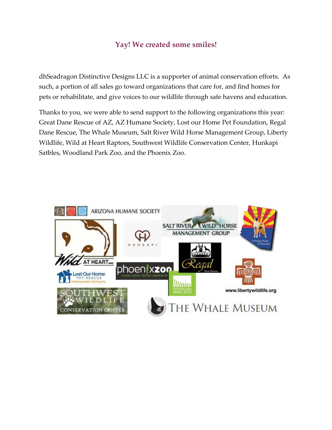# **Yay! We created some smiles!**

dhSeadragon Distinctive Designs LLC is a supporter of animal conservation efforts. As such, a portion of all sales go toward organizations that care for, and find homes for pets or rehabilitate, and give voices to our wildlife through safe havens and education.

Thanks to you, we were able to send support to the following organizations this year: Great Dane Rescue of AZ, AZ Humane Society, Lost our Home Pet Foundation, Regal Dane Rescue, The Whale Museum, Salt River Wild Horse Management Group, Liberty Wildlife, Wild at Heart Raptors, Southwest Wildlife Conservation Center, Hunkapi Satbles, Woodland Park Zoo, and the Phoenix Zoo.